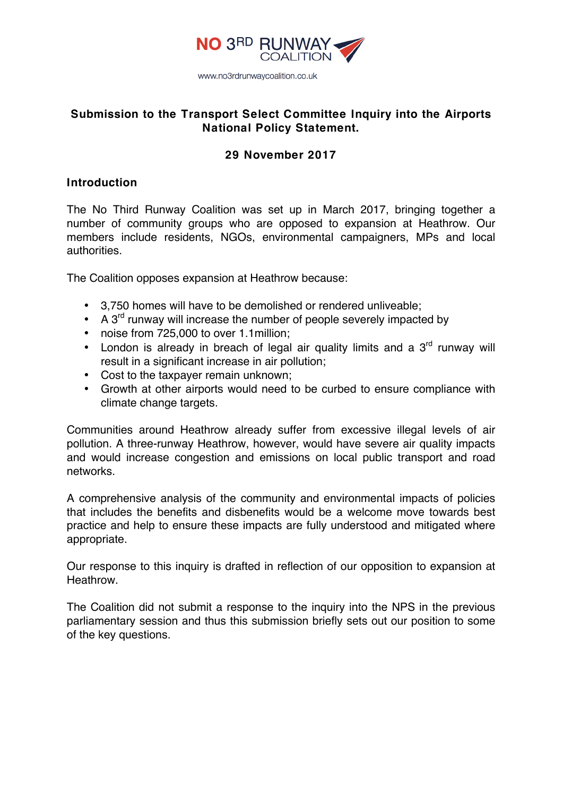

# **Submission to the Transport Select Committee Inquiry into the Airports National Policy Statement.**

# **29 November 2017**

## **Introduction**

The No Third Runway Coalition was set up in March 2017, bringing together a number of community groups who are opposed to expansion at Heathrow. Our members include residents, NGOs, environmental campaigners, MPs and local authorities.

The Coalition opposes expansion at Heathrow because:

- 3,750 homes will have to be demolished or rendered unliveable;
- A  $3<sup>rd</sup>$  runway will increase the number of people severely impacted by
- noise from 725,000 to over 1.1million;
- London is already in breach of legal air quality limits and a  $3<sup>rd</sup>$  runway will result in a significant increase in air pollution;
- Cost to the taxpayer remain unknown;
- Growth at other airports would need to be curbed to ensure compliance with climate change targets.

Communities around Heathrow already suffer from excessive illegal levels of air pollution. A three-runway Heathrow, however, would have severe air quality impacts and would increase congestion and emissions on local public transport and road networks.

A comprehensive analysis of the community and environmental impacts of policies that includes the benefits and disbenefits would be a welcome move towards best practice and help to ensure these impacts are fully understood and mitigated where appropriate.

Our response to this inquiry is drafted in reflection of our opposition to expansion at Heathrow.

The Coalition did not submit a response to the inquiry into the NPS in the previous parliamentary session and thus this submission briefly sets out our position to some of the key questions.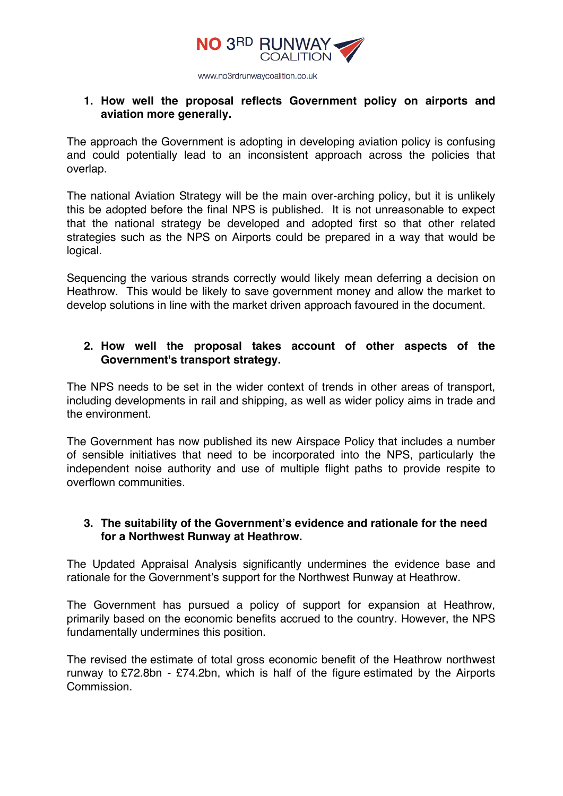

## **1. How well the proposal reflects Government policy on airports and aviation more generally.**

The approach the Government is adopting in developing aviation policy is confusing and could potentially lead to an inconsistent approach across the policies that overlap.

The national Aviation Strategy will be the main over-arching policy, but it is unlikely this be adopted before the final NPS is published. It is not unreasonable to expect that the national strategy be developed and adopted first so that other related strategies such as the NPS on Airports could be prepared in a way that would be logical.

Sequencing the various strands correctly would likely mean deferring a decision on Heathrow. This would be likely to save government money and allow the market to develop solutions in line with the market driven approach favoured in the document.

## **2. How well the proposal takes account of other aspects of the Government's transport strategy.**

The NPS needs to be set in the wider context of trends in other areas of transport, including developments in rail and shipping, as well as wider policy aims in trade and the environment.

The Government has now published its new Airspace Policy that includes a number of sensible initiatives that need to be incorporated into the NPS, particularly the independent noise authority and use of multiple flight paths to provide respite to overflown communities.

## **3. The suitability of the Government's evidence and rationale for the need for a Northwest Runway at Heathrow.**

The Updated Appraisal Analysis significantly undermines the evidence base and rationale for the Government's support for the Northwest Runway at Heathrow.

The Government has pursued a policy of support for expansion at Heathrow, primarily based on the economic benefits accrued to the country. However, the NPS fundamentally undermines this position.

The revised the estimate of total gross economic benefit of the Heathrow northwest runway to £72.8bn - £74.2bn, which is half of the figure estimated by the Airports Commission.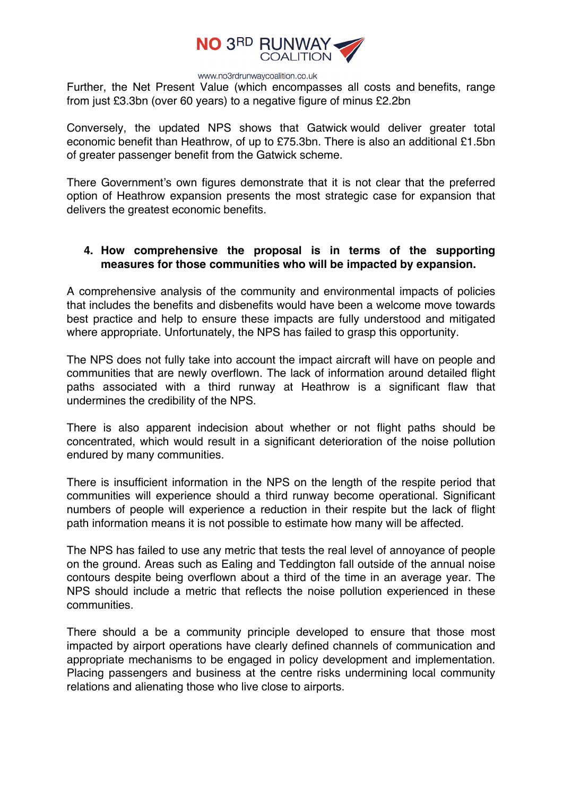

Further, the Net Present Value (which encompasses all costs and benefits, range from just £3.3bn (over 60 years) to a negative figure of minus £2.2bn

Conversely, the updated NPS shows that Gatwick would deliver greater total economic benefit than Heathrow, of up to £75.3bn. There is also an additional £1.5bn of greater passenger benefit from the Gatwick scheme.

There Government's own figures demonstrate that it is not clear that the preferred option of Heathrow expansion presents the most strategic case for expansion that delivers the greatest economic benefits.

# **4. How comprehensive the proposal is in terms of the supporting measures for those communities who will be impacted by expansion.**

A comprehensive analysis of the community and environmental impacts of policies that includes the benefits and disbenefits would have been a welcome move towards best practice and help to ensure these impacts are fully understood and mitigated where appropriate. Unfortunately, the NPS has failed to grasp this opportunity.

The NPS does not fully take into account the impact aircraft will have on people and communities that are newly overflown. The lack of information around detailed flight paths associated with a third runway at Heathrow is a significant flaw that undermines the credibility of the NPS.

There is also apparent indecision about whether or not flight paths should be concentrated, which would result in a significant deterioration of the noise pollution endured by many communities.

There is insufficient information in the NPS on the length of the respite period that communities will experience should a third runway become operational. Significant numbers of people will experience a reduction in their respite but the lack of flight path information means it is not possible to estimate how many will be affected.

The NPS has failed to use any metric that tests the real level of annoyance of people on the ground. Areas such as Ealing and Teddington fall outside of the annual noise contours despite being overflown about a third of the time in an average year. The NPS should include a metric that reflects the noise pollution experienced in these communities.

There should a be a community principle developed to ensure that those most impacted by airport operations have clearly defined channels of communication and appropriate mechanisms to be engaged in policy development and implementation. Placing passengers and business at the centre risks undermining local community relations and alienating those who live close to airports.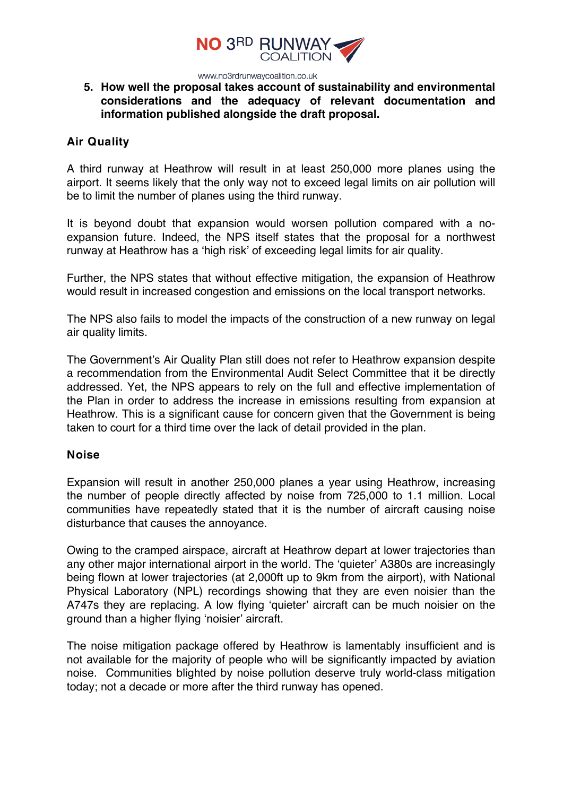

## **5. How well the proposal takes account of sustainability and environmental considerations and the adequacy of relevant documentation and information published alongside the draft proposal.**

### **Air Quality**

A third runway at Heathrow will result in at least 250,000 more planes using the airport. It seems likely that the only way not to exceed legal limits on air pollution will be to limit the number of planes using the third runway.

It is beyond doubt that expansion would worsen pollution compared with a noexpansion future. Indeed, the NPS itself states that the proposal for a northwest runway at Heathrow has a 'high risk' of exceeding legal limits for air quality.

Further, the NPS states that without effective mitigation, the expansion of Heathrow would result in increased congestion and emissions on the local transport networks.

The NPS also fails to model the impacts of the construction of a new runway on legal air quality limits.

The Government's Air Quality Plan still does not refer to Heathrow expansion despite a recommendation from the Environmental Audit Select Committee that it be directly addressed. Yet, the NPS appears to rely on the full and effective implementation of the Plan in order to address the increase in emissions resulting from expansion at Heathrow. This is a significant cause for concern given that the Government is being taken to court for a third time over the lack of detail provided in the plan.

### **Noise**

Expansion will result in another 250,000 planes a year using Heathrow, increasing the number of people directly affected by noise from 725,000 to 1.1 million. Local communities have repeatedly stated that it is the number of aircraft causing noise disturbance that causes the annoyance.

Owing to the cramped airspace, aircraft at Heathrow depart at lower trajectories than any other major international airport in the world. The 'quieter' A380s are increasingly being flown at lower trajectories (at 2,000ft up to 9km from the airport), with National Physical Laboratory (NPL) recordings showing that they are even noisier than the A747s they are replacing. A low flying 'quieter' aircraft can be much noisier on the ground than a higher flying 'noisier' aircraft.

The noise mitigation package offered by Heathrow is lamentably insufficient and is not available for the majority of people who will be significantly impacted by aviation noise. Communities blighted by noise pollution deserve truly world-class mitigation today; not a decade or more after the third runway has opened.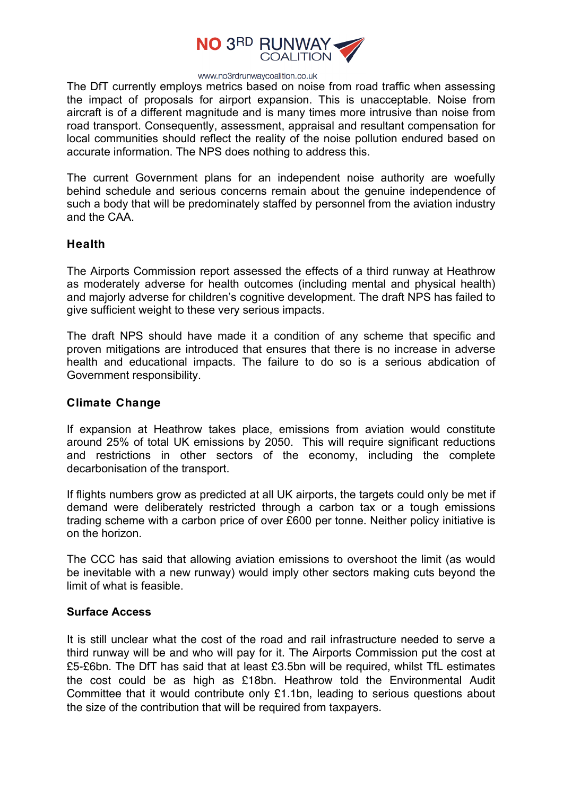

The DfT currently employs metrics based on noise from road traffic when assessing the impact of proposals for airport expansion. This is unacceptable. Noise from aircraft is of a different magnitude and is many times more intrusive than noise from road transport. Consequently, assessment, appraisal and resultant compensation for local communities should reflect the reality of the noise pollution endured based on accurate information. The NPS does nothing to address this.

The current Government plans for an independent noise authority are woefully behind schedule and serious concerns remain about the genuine independence of such a body that will be predominately staffed by personnel from the aviation industry and the CAA.

### **Health**

The Airports Commission report assessed the effects of a third runway at Heathrow as moderately adverse for health outcomes (including mental and physical health) and majorly adverse for children's cognitive development. The draft NPS has failed to give sufficient weight to these very serious impacts.

The draft NPS should have made it a condition of any scheme that specific and proven mitigations are introduced that ensures that there is no increase in adverse health and educational impacts. The failure to do so is a serious abdication of Government responsibility.

### **Climate Change**

If expansion at Heathrow takes place, emissions from aviation would constitute around 25% of total UK emissions by 2050. This will require significant reductions and restrictions in other sectors of the economy, including the complete decarbonisation of the transport.

If flights numbers grow as predicted at all UK airports, the targets could only be met if demand were deliberately restricted through a carbon tax or a tough emissions trading scheme with a carbon price of over £600 per tonne. Neither policy initiative is on the horizon.

The CCC has said that allowing aviation emissions to overshoot the limit (as would be inevitable with a new runway) would imply other sectors making cuts beyond the limit of what is feasible.

### **Surface Access**

It is still unclear what the cost of the road and rail infrastructure needed to serve a third runway will be and who will pay for it. The Airports Commission put the cost at £5-£6bn. The DfT has said that at least £3.5bn will be required, whilst TfL estimates the cost could be as high as £18bn. Heathrow told the Environmental Audit Committee that it would contribute only £1.1bn, leading to serious questions about the size of the contribution that will be required from taxpayers.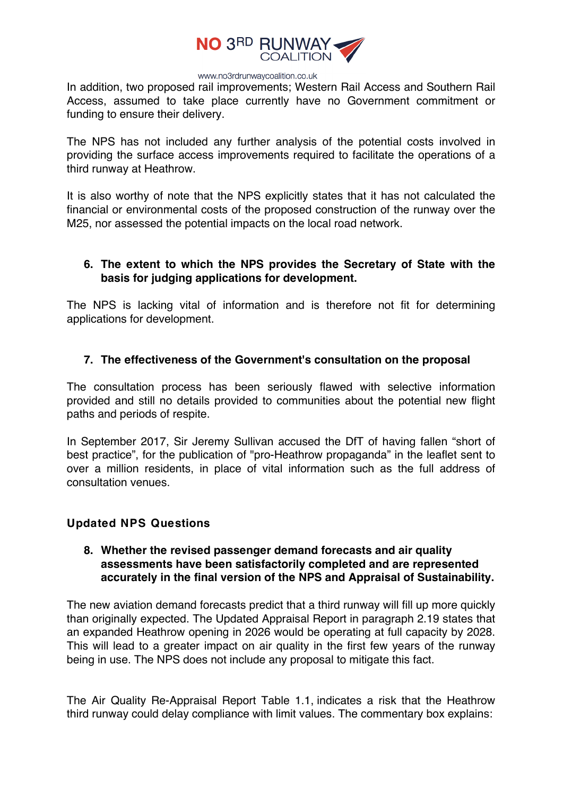

In addition, two proposed rail improvements; Western Rail Access and Southern Rail Access, assumed to take place currently have no Government commitment or funding to ensure their delivery.

The NPS has not included any further analysis of the potential costs involved in providing the surface access improvements required to facilitate the operations of a third runway at Heathrow.

It is also worthy of note that the NPS explicitly states that it has not calculated the financial or environmental costs of the proposed construction of the runway over the M25, nor assessed the potential impacts on the local road network.

### **6. The extent to which the NPS provides the Secretary of State with the basis for judging applications for development.**

The NPS is lacking vital of information and is therefore not fit for determining applications for development.

### **7. The effectiveness of the Government's consultation on the proposal**

The consultation process has been seriously flawed with selective information provided and still no details provided to communities about the potential new flight paths and periods of respite.

In September 2017, Sir Jeremy Sullivan accused the DfT of having fallen "short of best practice", for the publication of "pro-Heathrow propaganda" in the leaflet sent to over a million residents, in place of vital information such as the full address of consultation venues.

### **Updated NPS Questions**

### **8. Whether the revised passenger demand forecasts and air quality assessments have been satisfactorily completed and are represented accurately in the final version of the NPS and Appraisal of Sustainability.**

The new aviation demand forecasts predict that a third runway will fill up more quickly than originally expected. The Updated Appraisal Report in paragraph 2.19 states that an expanded Heathrow opening in 2026 would be operating at full capacity by 2028. This will lead to a greater impact on air quality in the first few years of the runway being in use. The NPS does not include any proposal to mitigate this fact.

The Air Quality Re-Appraisal Report Table 1.1, indicates a risk that the Heathrow third runway could delay compliance with limit values. The commentary box explains: